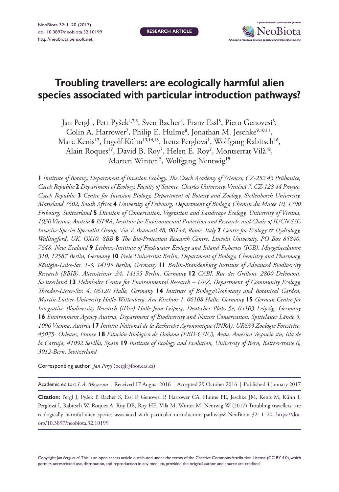NeoBiota 32: 1–20 (2017) [doi: 10.3897/neobiota.32.10199](https://doi.org/10.3897/neobiota.32.10199) <http://neobiota.pensoft.net>

**RESEARCH ARTICLE**



# **Troubling travellers: are ecologically harmful alien species associated with particular introduction pathways?**

Jan Pergl', Petr Pyšek<sup>1,2,3</sup>, Sven Bacher<sup>4</sup>, Franz Essl<sup>5</sup>, Piero Genovesi<sup>6</sup>, Colin A. Harrower<sup>7</sup>, Philip E. Hulme<sup>8</sup>, Jonathan M. Jeschke<sup>9,10,11</sup>, Marc Kenis<sup>12</sup>, Ingolf Kühn<sup>13,14,15</sup>, Irena Perglová<sup>1</sup>, Wolfgang Rabitsch<sup>16</sup>, Alain Roques<sup>17</sup>, David B. Roy<sup>7</sup>, Helen E. Roy<sup>7</sup>, Montserrat Vilà<sup>18</sup>, Marten Winter<sup>15</sup>, Wolfgang Nentwig<sup>19</sup>

**1** *Institute of Botany, Department of Invasion Ecology, The Czech Academy of Sciences, CZ-252 43 Průhonice, Czech Republic* **2** *Department of Ecology, Faculty of Science, Charles University, Viničná 7, CZ-128 44 Prague, Czech Republic* **3** *Centre for Invasion Biology, Department of Botany and Zoology, Stellenbosch University, Matieland 7602, South Africa* **4** *University of Fribourg, Department of Biology, Chemin du Musée 10, 1700 Fribourg, Switzerland* **5** *Division of Conservation, Vegetation and Landscape Ecology, University of Vienna, 1030 Vienna, Austria* **6** *ISPRA, Institute for Environmental Protection and Research, and Chair of IUCN SSC Invasive Species Specialist Group, Via V. Brancati 48, 00144, Rome, Italy* **7** *Centre for Ecology & Hydrology, Wallingford, UK, OX10, 8BB* **8** *The Bio-Protection Research Centre, Lincoln University, PO Box 85840, 7648, New Zealand* **9** *Leibniz-Institute of Freshwater Ecology and Inland Fisheries (IGB), Müggelseedamm 310, 12587 Berlin, Germany* **10** *Freie Universität Berlin, Department of Biology, Chemistry and Pharmacy, Königin-Luise-Str. 1-3, 14195 Berlin, Germany* **11** *Berlin-Brandenburg Institute of Advanced Biodiversity Research (BBIB), Altensteinstr. 34, 14195 Berlin, Germany* **12** *CABI, Rue des Grillons, 2800 Delémont, Switzerland* **13** *Helmholtz Centre for Environmental Research – UFZ, Department of Community Ecology, Theodor-Lieser-Str. 4, 06120 Halle, Germany* **14** *Institute of Biology/Geobotany and Botanical Garden, Martin-Luther-University Halle-Wittenberg, Am Kirchtor 1, 06108 Halle, Germany* **15** *German Centre for Integrative Biodiversity Research (iDiv) Halle-Jena-Leipzig, Deutscher Platz 5e, 04103 Leipzig, Germany*  **16** *Environment Agency Austria, Department of Biodiversity and Nature Conservation, Spittelauer Lände 5, 1090 Vienna, Austria* **17** *Institut National de la Recherche Agronomique (INRA), UR633 Zoologie Forestière, 45075- Orléans, France* **18** *Estación Biológica de Doñana (EBD-CSIC), Avda. Américo Vespucio s/n, Isla de la Cartuja, 41092 Sevilla, Spain* **19** *Institute of Ecology and Evolution, University of Bern, Baltzerstrasse 6, 3012-Bern, Switzerland*

Corresponding author: *Jan Pergl* [\(pergl@ibot.cas.cz\)](mailto:pergl@ibot.cas.cz)

Academic editor: *L.A. Meyerson* | Received 17 August 2016 | Accepted 29 October 2016 | Published 4 January 2017

**Citation:** Pergl J, Pyšek P, Bacher S, Essl F, Genovesi P, Harrower CA, Hulme PE, Jeschke JM, Kenis M, Kühn I, Perglová I, Rabitsch W, Roques A, Roy DB, Roy HE, Vilà M, Winter M, Nentwig W (2017) Troubling travellers: are ecologically harmful alien species associated with particular introduction pathways? NeoBiota 32: 1–20. [https://doi.](https://doi.org/10.3897/neobiota.32.10199) [org/10.3897/neobiota.32.10199](https://doi.org/10.3897/neobiota.32.10199)

Copyright *Jan Pergl et al.* This is an open access article distributed under the terms of the [Creative Commons Attribution License \(CC BY 4.0\),](http://creativecommons.org/licenses/by/4.0/) which permits unrestricted use, distribution, and reproduction in any medium, provided the original author and source are credited.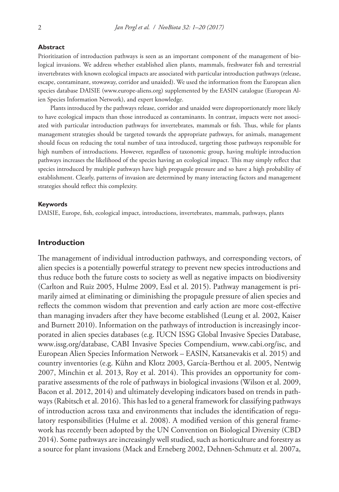#### **Abstract**

Prioritization of introduction pathways is seen as an important component of the management of biological invasions. We address whether established alien plants, mammals, freshwater fish and terrestrial invertebrates with known ecological impacts are associated with particular introduction pathways (release, escape, contaminant, stowaway, corridor and unaided). We used the information from the European alien species database DAISIE ([www.europe-aliens.org](http://www.europe-aliens.org)) supplemented by the EASIN catalogue (European Alien Species Information Network), and expert knowledge.

Plants introduced by the pathways release, corridor and unaided were disproportionately more likely to have ecological impacts than those introduced as contaminants. In contrast, impacts were not associated with particular introduction pathways for invertebrates, mammals or fish. Thus, while for plants management strategies should be targeted towards the appropriate pathways, for animals, management should focus on reducing the total number of taxa introduced, targeting those pathways responsible for high numbers of introductions. However, regardless of taxonomic group, having multiple introduction pathways increases the likelihood of the species having an ecological impact. This may simply reflect that species introduced by multiple pathways have high propagule pressure and so have a high probability of establishment. Clearly, patterns of invasion are determined by many interacting factors and management strategies should reflect this complexity.

#### **Keywords**

DAISIE, Europe, fish, ecological impact, introductions, invertebrates, mammals, pathways, plants

## **Introduction**

The management of individual introduction pathways, and corresponding vectors, of alien species is a potentially powerful strategy to prevent new species introductions and thus reduce both the future costs to society as well as negative impacts on biodiversity (Carlton and Ruiz 2005, Hulme 2009, Essl et al. 2015). Pathway management is primarily aimed at eliminating or diminishing the propagule pressure of alien species and reflects the common wisdom that prevention and early action are more cost-effective than managing invaders after they have become established (Leung et al. 2002, Kaiser and Burnett 2010). Information on the pathways of introduction is increasingly incorporated in alien species databases (e.g. IUCN ISSG Global Invasive Species Database, [www.issg.org/database,](http://www.issg.org/database) CABI Invasive Species Compendium, [www.cabi.org/isc](http://www.cabi.org/isc), and European Alien Species Information Network – EASIN, Katsanevakis et al. 2015) and country inventories (e.g. Kühn and Klotz 2003, García-Berthou et al. 2005, Nentwig 2007, Minchin et al. 2013, Roy et al. 2014). This provides an opportunity for comparative assessments of the role of pathways in biological invasions (Wilson et al. 2009, Bacon et al. 2012, 2014) and ultimately developing indicators based on trends in pathways (Rabitsch et al. 2016). This has led to a general framework for classifying pathways of introduction across taxa and environments that includes the identification of regulatory responsibilities (Hulme et al. 2008). A modified version of this general framework has recently been adopted by the UN Convention on Biological Diversity (CBD 2014). Some pathways are increasingly well studied, such as horticulture and forestry as a source for plant invasions (Mack and Erneberg 2002, Dehnen-Schmutz et al. 2007a,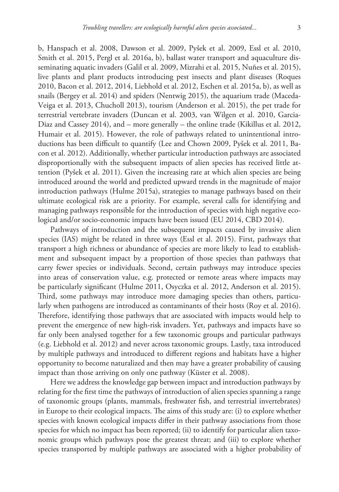b, Hanspach et al. 2008, Dawson et al. 2009, Pyšek et al. 2009, Essl et al. 2010, Smith et al. 2015, Pergl et al. 2016a, b), ballast water transport and aquaculture disseminating aquatic invaders (Galil et al. 2009, Mizrahi et al. 2015, Nuñes et al. 2015), live plants and plant products introducing pest insects and plant diseases (Roques 2010, Bacon et al. 2012, 2014, Liebhold et al. 2012, Eschen et al. 2015a, b), as well as snails (Bergey et al. 2014) and spiders (Nentwig 2015), the aquarium trade (Maceda-Veiga et al. 2013, Chucholl 2013), tourism (Anderson et al. 2015), the pet trade for terrestrial vertebrate invaders (Duncan et al. 2003, van Wilgen et al. 2010, Garcia-Diaz and Cassey 2014), and – more generally – the online trade (Kikillus et al. 2012, Humair et al. 2015). However, the role of pathways related to unintentional introductions has been difficult to quantify (Lee and Chown 2009, Pyšek et al. 2011, Bacon et al. 2012). Additionally, whether particular introduction pathways are associated disproportionally with the subsequent impacts of alien species has received little attention (Pyšek et al. 2011). Given the increasing rate at which alien species are being introduced around the world and predicted upward trends in the magnitude of major introduction pathways (Hulme 2015a), strategies to manage pathways based on their ultimate ecological risk are a priority. For example, several calls for identifying and managing pathways responsible for the introduction of species with high negative ecological and/or socio-economic impacts have been issued (EU 2014, CBD 2014).

Pathways of introduction and the subsequent impacts caused by invasive alien species (IAS) might be related in three ways (Essl et al. 2015). First, pathways that transport a high richness or abundance of species are more likely to lead to establishment and subsequent impact by a proportion of those species than pathways that carry fewer species or individuals. Second, certain pathways may introduce species into areas of conservation value, e.g. protected or remote areas where impacts may be particularly significant (Hulme 2011, Osyczka et al. 2012, Anderson et al. 2015). Third, some pathways may introduce more damaging species than others, particularly when pathogens are introduced as contaminants of their hosts (Roy et al. 2016). Therefore, identifying those pathways that are associated with impacts would help to prevent the emergence of new high-risk invaders. Yet, pathways and impacts have so far only been analysed together for a few taxonomic groups and particular pathways (e.g. Liebhold et al. 2012) and never across taxonomic groups. Lastly, taxa introduced by multiple pathways and introduced to different regions and habitats have a higher opportunity to become naturalized and then may have a greater probability of causing impact than those arriving on only one pathway (Küster et al. 2008).

Here we address the knowledge gap between impact and introduction pathways by relating for the first time the pathways of introduction of alien species spanning a range of taxonomic groups (plants, mammals, freshwater fish, and terrestrial invertebrates) in Europe to their ecological impacts. The aims of this study are: (i) to explore whether species with known ecological impacts differ in their pathway associations from those species for which no impact has been reported; (ii) to identify for particular alien taxonomic groups which pathways pose the greatest threat; and (iii) to explore whether species transported by multiple pathways are associated with a higher probability of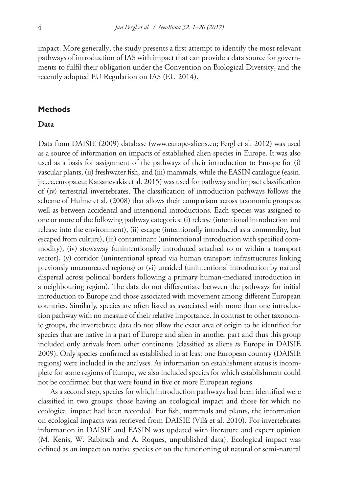impact. More generally, the study presents a first attempt to identify the most relevant pathways of introduction of IAS with impact that can provide a data source for governments to fulfil their obligation under the Convention on Biological Diversity, and the recently adopted EU Regulation on IAS (EU 2014).

## **Methods**

# **Data**

Data from DAISIE (2009) database [\(www.europe-aliens.eu;](http://www.europe-aliens.eu) Pergl et al. 2012) was used as a source of information on impacts of established alien species in Europe. It was also used as a basis for assignment of the pathways of their introduction to Europe for (i) vascular plants, (ii) freshwater fish, and (iii) mammals, while the EASIN catalogue (easin. jrc.ec.europa.eu; Katsanevakis et al. 2015) was used for pathway and impact classification of (iv) terrestrial invertebrates. The classification of introduction pathways follows the scheme of Hulme et al. (2008) that allows their comparison across taxonomic groups as well as between accidental and intentional introductions. Each species was assigned to one or more of the following pathway categories: (i) release (intentional introduction and release into the environment), (ii) escape (intentionally introduced as a commodity, but escaped from culture), (iii) contaminant (unintentional introduction with specified commodity), (iv) stowaway (unintentionally introduced attached to or within a transport vector), (v) corridor (unintentional spread via human transport infrastructures linking previously unconnected regions) or (vi) unaided (unintentional introduction by natural dispersal across political borders following a primary human-mediated introduction in a neighbouring region). The data do not differentiate between the pathways for initial introduction to Europe and those associated with movement among different European countries. Similarly, species are often listed as associated with more than one introduction pathway with no measure of their relative importance. In contrast to other taxonomic groups, the invertebrate data do not allow the exact area of origin to be identified for species that are native in a part of Europe and alien in another part and thus this group included only arrivals from other continents (classified as aliens *to* Europe in DAISIE 2009). Only species confirmed as established in at least one European country (DAISIE regions) were included in the analyses. As information on establishment status is incomplete for some regions of Europe, we also included species for which establishment could not be confirmed but that were found in five or more European regions.

As a second step, species for which introduction pathways had been identified were classified in two groups: those having an ecological impact and those for which no ecological impact had been recorded. For fish, mammals and plants, the information on ecological impacts was retrieved from DAISIE (Vilà et al. 2010). For invertebrates information in DAISIE and EASIN was updated with literature and expert opinion (M. Kenis, W. Rabitsch and A. Roques, unpublished data). Ecological impact was defined as an impact on native species or on the functioning of natural or semi-natural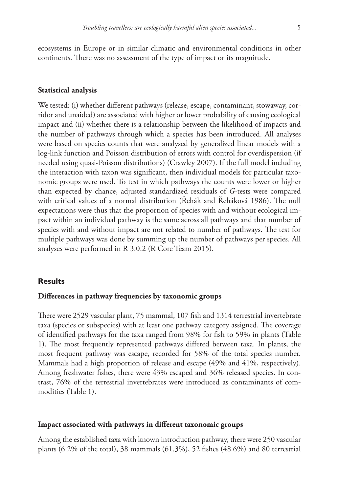ecosystems in Europe or in similar climatic and environmental conditions in other continents. There was no assessment of the type of impact or its magnitude.

## **Statistical analysis**

We tested: (i) whether different pathways (release, escape, contaminant, stowaway, corridor and unaided) are associated with higher or lower probability of causing ecological impact and (ii) whether there is a relationship between the likelihood of impacts and the number of pathways through which a species has been introduced. All analyses were based on species counts that were analysed by generalized linear models with a log-link function and Poisson distribution of errors with control for overdispersion (if needed using quasi-Poisson distributions) (Crawley 2007). If the full model including the interaction with taxon was significant, then individual models for particular taxonomic groups were used. To test in which pathways the counts were lower or higher than expected by chance, adjusted standardized residuals of *G*-tests were compared with critical values of a normal distribution (Řehák and Řeháková 1986). The null expectations were thus that the proportion of species with and without ecological impact within an individual pathway is the same across all pathways and that number of species with and without impact are not related to number of pathways. The test for multiple pathways was done by summing up the number of pathways per species. All analyses were performed in R 3.0.2 (R Core Team 2015).

## **Results**

## **Differences in pathway frequencies by taxonomic groups**

There were 2529 vascular plant, 75 mammal, 107 fish and 1314 terrestrial invertebrate taxa (species or subspecies) with at least one pathway category assigned. The coverage of identified pathways for the taxa ranged from 98% for fish to 59% in plants (Table 1). The most frequently represented pathways differed between taxa. In plants, the most frequent pathway was escape, recorded for 58% of the total species number. Mammals had a high proportion of release and escape (49% and 41%, respectively). Among freshwater fishes, there were 43% escaped and 36% released species. In contrast, 76% of the terrestrial invertebrates were introduced as contaminants of commodities (Table 1).

### **Impact associated with pathways in different taxonomic groups**

Among the established taxa with known introduction pathway, there were 250 vascular plants (6.2% of the total), 38 mammals (61.3%), 52 fishes (48.6%) and 80 terrestrial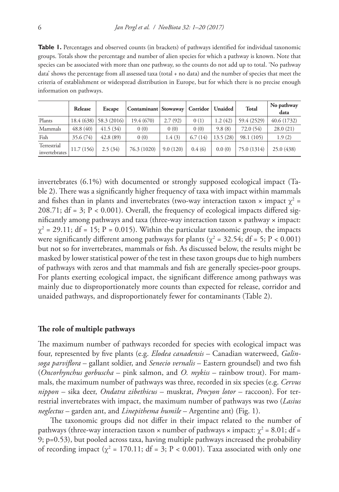**Table 1.** Percentages and observed counts (in brackets) of pathways identified for individual taxonomic groups. Totals show the percentage and number of alien species for which a pathway is known. Note that species can be associated with more than one pathway, so the counts do not add up to total. 'No pathway data' shows the percentage from all assessed taxa (total + no data) and the number of species that meet the criteria of establishment or widespread distribution in Europe, but for which there is no precise enough information on pathways.

|                              | Release   | <b>Escape</b>           | Contaminant   Stowaway |          | Corridor   Unaided |          | <b>Total</b> | No pathway<br>data |
|------------------------------|-----------|-------------------------|------------------------|----------|--------------------|----------|--------------|--------------------|
| Plants                       |           | $18.4(638)$ 58.3 (2016) | 19.4 (670)             | 2.7(92)  | 0(1)               | 1.2(42)  | 59.4 (2529)  | 40.6 (1732)        |
| Mammals                      | 48.8(40)  | 41.5(34)                | 0(0)                   | 0(0)     | 0(0)               | 9.8(8)   | 72.0 (54)    | 28.0(21)           |
| Fish                         | 35.6 (74) | 42.8(89)                | 0(0)                   | 1.4(3)   | 6.7(14)            | 13.5(28) | 98.1 (105)   | 1.9(2)             |
| Terrestrial<br>invertebrates | 11.7(156) | 2.5(34)                 | 76.3 (1020)            | 9.0(120) | 0.4(6)             | 0.0(0)   | 75.0 (1314)  | 25.0 (438)         |

invertebrates (6.1%) with documented or strongly supposed ecological impact (Table 2). There was a significantly higher frequency of taxa with impact within mammals and fishes than in plants and invertebrates (two-way interaction taxon  $\times$  impact  $\chi^2$  = 208.71;  $df = 3$ ;  $P < 0.001$ ). Overall, the frequency of ecological impacts differed significantly among pathways and taxa (three-way interaction taxon × pathway × impact:  $\chi^2$  = 29.11; df = 15; P = 0.015). Within the particular taxonomic group, the impacts were significantly different among pathways for plants ( $\chi^2$  = 32.54; df = 5; P < 0.001) but not so for invertebrates, mammals or fish. As discussed below, the results might be masked by lower statistical power of the test in these taxon groups due to high numbers of pathways with zeros and that mammals and fish are generally species-poor groups. For plants exerting ecological impact, the significant difference among pathways was mainly due to disproportionately more counts than expected for release, corridor and unaided pathways, and disproportionately fewer for contaminants (Table 2).

#### **The role of multiple pathways**

The maximum number of pathways recorded for species with ecological impact was four, represented by five plants (e.g. *Elodea canadensis* – Canadian waterweed, *Galinsoga parviflora* – gallant soldier, and *Senecio vernalis* – Eastern groundsel) and two fish (*Oncorhynchus gorbuscha* – pink salmon, and *O. mykiss* – rainbow trout). For mammals, the maximum number of pathways was three, recorded in six species (e.g. *Cervus nippon* – sika deer, *Ondatra zibethicus* – muskrat, *Procyon lotor* – raccoon). For terrestrial invertebrates with impact, the maximum number of pathways was two (*Lasius neglectus* – garden ant, and *Linepithema humile* – Argentine ant) (Fig. 1).

The taxonomic groups did not differ in their impact related to the number of pathways (three-way interaction taxon × number of pathways × impact:  $\chi^2$  = 8.01; df = 9; p=0.53), but pooled across taxa, having multiple pathways increased the probability of recording impact ( $\chi^2$  = 170.11; df = 3; P < 0.001). Taxa associated with only one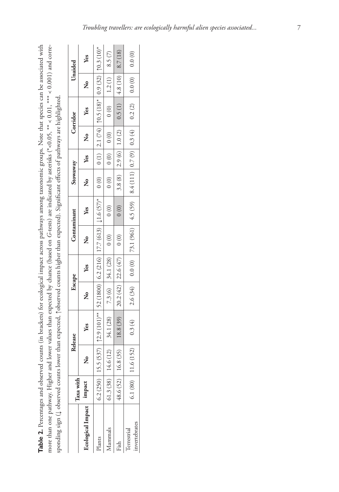| Note that species can be associated with<br>nomic gr<br>d counts (in brackets) for ecological impact across pathway<br>ļ | terisks (*<0.05, ** < 0.01, *** < 0.001) and<br>xpected by chance (based on G-tests) are indicated by as.<br>¢<br>j<br>ä | i<br>E<br>h tar<br>Simificant effects of pathways ar-<br>ँ<br>न<br>A Chinte biobat that the cripped<br>a Toberra<br>an av<br>$\tilde{c}$<br>へんきゅう |
|--------------------------------------------------------------------------------------------------------------------------|--------------------------------------------------------------------------------------------------------------------------|---------------------------------------------------------------------------------------------------------------------------------------------------|
|                                                                                                                          |                                                                                                                          | <b>CONTACT CONTROL</b><br>くらく                                                                                                                     |
|                                                                                                                          |                                                                                                                          |                                                                                                                                                   |

|                                           | Taxa with |    | Release                                                                                                                                                                                                                                                                                                                                                                       | Escape |     | Contaminant |     | Stowaway |        |                | Corridor                                                                                                                          |                | Unaided |
|-------------------------------------------|-----------|----|-------------------------------------------------------------------------------------------------------------------------------------------------------------------------------------------------------------------------------------------------------------------------------------------------------------------------------------------------------------------------------|--------|-----|-------------|-----|----------|--------|----------------|-----------------------------------------------------------------------------------------------------------------------------------|----------------|---------|
| Ecological Impact                         | impact    | ž, | Yes                                                                                                                                                                                                                                                                                                                                                                           | ر<br>م | Yes | ر<br>م      | Yes |          | No les | $\overline{R}$ | Yes                                                                                                                               | $\overline{R}$ | Yes     |
| lants                                     | 6.2 (250) |    | $5.5(537)$   $\uparrow$ $2.9(101)$ ** $\mid$ $52(1800)$ $\mid$ $6.2(216)$ $\mid$ $17.7(613)$ $\mid$ $1.6(57)$ * $\mid$ 0 (1) $\mid$ $\mid$ 0 1 $\mid$ $(74)$ $\mid$ $\uparrow$ $(0.5(18)$ * $\mid$ $0.9(32)$ $\mid$ $\uparrow$ $0.3(10)$ *                                                                                                                                    |        |     |             |     |          |        |                |                                                                                                                                   |                |         |
| <b>Mammals</b>                            | 61.3 (38) |    | $14.6(12)$ 34.1 (28) 7.3 (6) 34.1 (28) 0 (0)                                                                                                                                                                                                                                                                                                                                  |        |     |             |     |          |        |                | $0(0)$ $0(0)$ $0(0)$ $0(0)$ $1.2(1)$ 8.5(7)                                                                                       |                |         |
| Fish                                      | 48.6 (52) |    | $16.8(35)$ 18.8 (39) 20.2 (42) 22.6 (47) 0 (0)                                                                                                                                                                                                                                                                                                                                |        |     |             |     |          |        |                | 0 (0) 3.8 (8) $\begin{array}{ c c c c c c c c } \hline 1.9 & 0.9 & 0.5 & 0.5 & 0.7 & 4.8 & 0.0 & 8.7 & 0.8 \\ \hline \end{array}$ |                |         |
| nvertebrates<br><i><b>Terrestrial</b></i> | 6.1(80)   |    | $[0.32] \left[ \begin{array}{c c} 0.320 & 0.200 \\ 0.000 & 0.200 \\ \end{array} \right] \left[ \begin{array}{c c} 0.340 & 0.200 \\ 0.200 & 0.200 \\ \end{array} \right] \left[ \begin{array}{c c} 0.320 & 0.200 \\ 0.200 & 0.200 \\ \end{array} \right] \left[ \begin{array}{c c} 0.320 & 0.200 \\ 0.200 & 0.200 \\ \end{array} \right] \left[ \begin{array}{c c} 0.320 & 0.$ |        |     |             |     |          |        |                |                                                                                                                                   |                |         |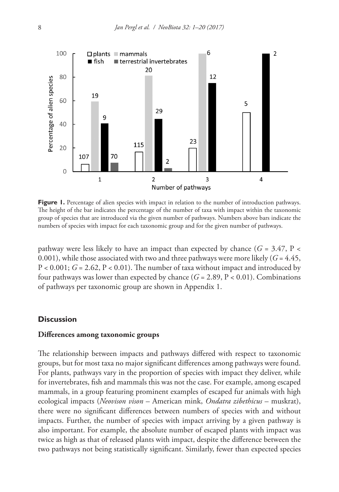

**Figure 1.** Percentage of alien species with impact in relation to the number of introduction pathways. The height of the bar indicates the percentage of the number of taxa with impact within the taxonomic group of species that are introduced via the given number of pathways. Numbers above bars indicate the numbers of species with impact for each taxonomic group and for the given number of pathways.

pathway were less likely to have an impact than expected by chance ( $G = 3.47$ ,  $P <$ 0.001), while those associated with two and three pathways were more likely  $(G = 4.45)$ ,  $P < 0.001$ ;  $G = 2.62$ ,  $P < 0.01$ ). The number of taxa without impact and introduced by four pathways was lower than expected by chance  $(G = 2.89, P < 0.01)$ . Combinations of pathways per taxonomic group are shown in Appendix 1.

## **Discussion**

## **Differences among taxonomic groups**

The relationship between impacts and pathways differed with respect to taxonomic groups, but for most taxa no major significant differences among pathways were found. For plants, pathways vary in the proportion of species with impact they deliver, while for invertebrates, fish and mammals this was not the case. For example, among escaped mammals, in a group featuring prominent examples of escaped fur animals with high ecological impacts (*Neovison vison* – American mink, *Ondatra zibethicus* – muskrat), there were no significant differences between numbers of species with and without impacts. Further, the number of species with impact arriving by a given pathway is also important. For example, the absolute number of escaped plants with impact was twice as high as that of released plants with impact, despite the difference between the two pathways not being statistically significant. Similarly, fewer than expected species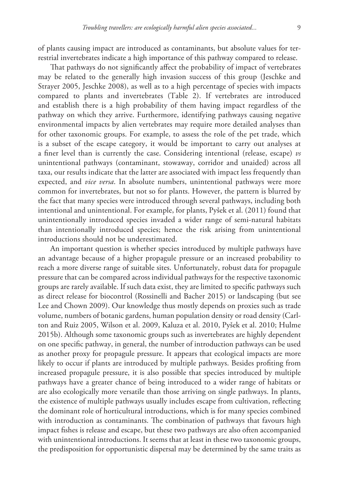of plants causing impact are introduced as contaminants, but absolute values for terrestrial invertebrates indicate a high importance of this pathway compared to release.

That pathways do not significantly affect the probability of impact of vertebrates may be related to the generally high invasion success of this group (Jeschke and Strayer 2005, Jeschke 2008), as well as to a high percentage of species with impacts compared to plants and invertebrates (Table 2). If vertebrates are introduced and establish there is a high probability of them having impact regardless of the pathway on which they arrive. Furthermore, identifying pathways causing negative environmental impacts by alien vertebrates may require more detailed analyses than for other taxonomic groups. For example, to assess the role of the pet trade, which is a subset of the escape category, it would be important to carry out analyses at a finer level than is currently the case. Considering intentional (release, escape) *vs* unintentional pathways (contaminant, stowaway, corridor and unaided) across all taxa, our results indicate that the latter are associated with impact less frequently than expected, and *vice versa*. In absolute numbers, unintentional pathways were more common for invertebrates, but not so for plants. However, the pattern is blurred by the fact that many species were introduced through several pathways, including both intentional and unintentional. For example, for plants, Pyšek et al. (2011) found that unintentionally introduced species invaded a wider range of semi-natural habitats than intentionally introduced species; hence the risk arising from unintentional introductions should not be underestimated.

An important question is whether species introduced by multiple pathways have an advantage because of a higher propagule pressure or an increased probability to reach a more diverse range of suitable sites. Unfortunately, robust data for propagule pressure that can be compared across individual pathways for the respective taxonomic groups are rarely available. If such data exist, they are limited to specific pathways such as direct release for biocontrol (Rossinelli and Bacher 2015) or landscaping (but see Lee and Chown 2009). Our knowledge thus mostly depends on proxies such as trade volume, numbers of botanic gardens, human population density or road density (Carlton and Ruiz 2005, Wilson et al. 2009, Kaluza et al. 2010, Pyšek et al. 2010; Hulme 2015b). Although some taxonomic groups such as invertebrates are highly dependent on one specific pathway, in general, the number of introduction pathways can be used as another proxy for propagule pressure. It appears that ecological impacts are more likely to occur if plants are introduced by multiple pathways. Besides profiting from increased propagule pressure, it is also possible that species introduced by multiple pathways have a greater chance of being introduced to a wider range of habitats or are also ecologically more versatile than those arriving on single pathways. In plants, the existence of multiple pathways usually includes escape from cultivation, reflecting the dominant role of horticultural introductions, which is for many species combined with introduction as contaminants. The combination of pathways that favours high impact fishes is release and escape, but these two pathways are also often accompanied with unintentional introductions. It seems that at least in these two taxonomic groups, the predisposition for opportunistic dispersal may be determined by the same traits as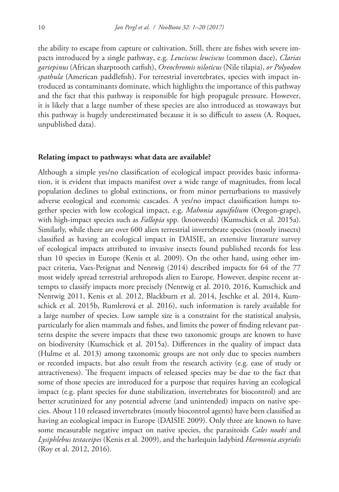the ability to escape from capture or cultivation. Still, there are fishes with severe impacts introduced by a single pathway, e.g. *Leuciscus leuciscus* (common dace), *Clarias gariepinus* (African sharptooth catfish), *Oreochromis niloticus* (Nile tilapia), *or Polyodon spathula* (American paddlefish). For terrestrial invertebrates, species with impact introduced as contaminants dominate, which highlights the importance of this pathway and the fact that this pathway is responsible for high propagule pressure. However, it is likely that a large number of these species are also introduced as stowaways but this pathway is hugely underestimated because it is so difficult to assess (A. Roques, unpublished data).

#### **Relating impact to pathways: what data are available?**

Although a simple yes/no classification of ecological impact provides basic information, it is evident that impacts manifest over a wide range of magnitudes, from local population declines to global extinctions, or from minor perturbations to massively adverse ecological and economic cascades. A yes/no impact classification lumps together species with low ecological impact, e.g. *Mahonia aquifolium* (Oregon-grape), with high-impact species such as *Fallopia* spp. (knotweeds) (Kumschick et al. 2015a). Similarly, while there are over 600 alien terrestrial invertebrate species (mostly insects) classified as having an ecological impact in DAISIE, an extensive literature survey of ecological impacts attributed to invasive insects found published records for less than 10 species in Europe (Kenis et al. 2009). On the other hand, using other impact criteria, Vaes-Petignat and Nentwig (2014) described impacts for 64 of the 77 most widely spread terrestrial arthropods alien to Europe. However, despite recent attempts to classify impacts more precisely (Nentwig et al. 2010, 2016, Kumschick and Nentwig 2011, Kenis et al. 2012, Blackburn et al. 2014, Jeschke et al. 2014, Kumschick et al. 2015b, Rumlerová et al. 2016), such information is rarely available for a large number of species. Low sample size is a constraint for the statistical analysis, particularly for alien mammals and fishes, and limits the power of finding relevant patterns despite the severe impacts that these two taxonomic groups are known to have on biodiversity (Kumschick et al. 2015a). Differences in the quality of impact data (Hulme et al. 2013) among taxonomic groups are not only due to species numbers or recorded impacts, but also result from the research activity (e.g. ease of study or attractiveness). The frequent impacts of released species may be due to the fact that some of those species are introduced for a purpose that requires having an ecological impact (e.g. plant species for dune stabilization, invertebrates for biocontrol) and are better scrutinized for any potential adverse (and unintended) impacts on native species. About 110 released invertebrates (mostly biocontrol agents) have been classified as having an ecological impact in Europe (DAISIE 2009). Only three are known to have some measurable negative impact on native species, the parasitoids *Cales noaki* and *Lysiphlebus testaceipes* (Kenis et al. 2009), and the harlequin ladybird *Harmonia axyridis* (Roy et al. 2012, 2016).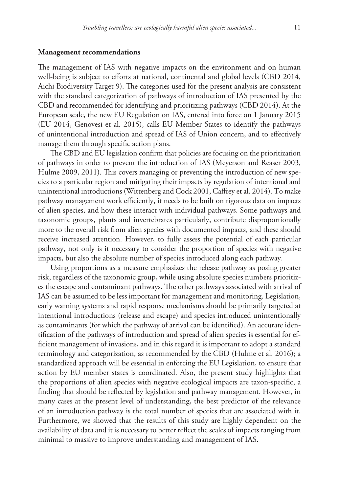## **Management recommendations**

The management of IAS with negative impacts on the environment and on human well-being is subject to efforts at national, continental and global levels (CBD 2014, Aichi Biodiversity Target 9). The categories used for the present analysis are consistent with the standard categorization of pathways of introduction of IAS presented by the CBD and recommended for identifying and prioritizing pathways (CBD 2014). At the European scale, the new EU Regulation on IAS, entered into force on 1 January 2015 (EU 2014, Genovesi et al. 2015), calls EU Member States to identify the pathways of unintentional introduction and spread of IAS of Union concern, and to effectively manage them through specific action plans.

The CBD and EU legislation confirm that policies are focusing on the prioritization of pathways in order to prevent the introduction of IAS (Meyerson and Reaser 2003, Hulme 2009, 2011). This covers managing or preventing the introduction of new species to a particular region and mitigating their impacts by regulation of intentional and unintentional introductions (Wittenberg and Cock 2001, Caffrey et al. 2014). To make pathway management work efficiently, it needs to be built on rigorous data on impacts of alien species, and how these interact with individual pathways. Some pathways and taxonomic groups, plants and invertebrates particularly, contribute disproportionally more to the overall risk from alien species with documented impacts, and these should receive increased attention. However, to fully assess the potential of each particular pathway, not only is it necessary to consider the proportion of species with negative impacts, but also the absolute number of species introduced along each pathway.

Using proportions as a measure emphasizes the release pathway as posing greater risk, regardless of the taxonomic group, while using absolute species numbers prioritizes the escape and contaminant pathways. The other pathways associated with arrival of IAS can be assumed to be less important for management and monitoring. Legislation, early warning systems and rapid response mechanisms should be primarily targeted at intentional introductions (release and escape) and species introduced unintentionally as contaminants (for which the pathway of arrival can be identified). An accurate identification of the pathways of introduction and spread of alien species is essential for efficient management of invasions, and in this regard it is important to adopt a standard terminology and categorization, as recommended by the CBD (Hulme et al. 2016); a standardized approach will be essential in enforcing the EU Legislation, to ensure that action by EU member states is coordinated. Also, the present study highlights that the proportions of alien species with negative ecological impacts are taxon-specific, a finding that should be reflected by legislation and pathway management. However, in many cases at the present level of understanding, the best predictor of the relevance of an introduction pathway is the total number of species that are associated with it. Furthermore, we showed that the results of this study are highly dependent on the availability of data and it is necessary to better reflect the scales of impacts ranging from minimal to massive to improve understanding and management of IAS.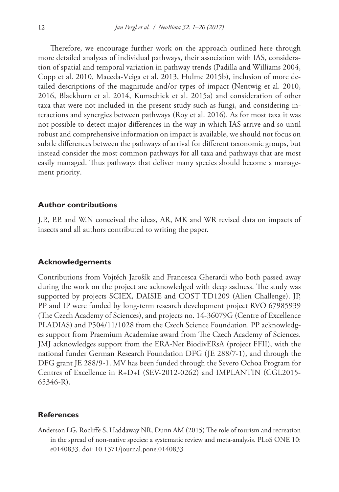Therefore, we encourage further work on the approach outlined here through more detailed analyses of individual pathways, their association with IAS, consideration of spatial and temporal variation in pathway trends (Padilla and Williams 2004, Copp et al. 2010, Maceda-Veiga et al. 2013, Hulme 2015b), inclusion of more detailed descriptions of the magnitude and/or types of impact (Nentwig et al. 2010, 2016, Blackburn et al. 2014, Kumschick et al. 2015a) and consideration of other taxa that were not included in the present study such as fungi, and considering interactions and synergies between pathways (Roy et al. 2016). As for most taxa it was not possible to detect major differences in the way in which IAS arrive and so until robust and comprehensive information on impact is available, we should not focus on subtle differences between the pathways of arrival for different taxonomic groups, but instead consider the most common pathways for all taxa and pathways that are most easily managed. Thus pathways that deliver many species should become a management priority.

## **Author contributions**

J.P., P.P. and W.N conceived the ideas, AR, MK and WR revised data on impacts of insects and all authors contributed to writing the paper.

## **Acknowledgements**

Contributions from Vojtěch Jarošík and Francesca Gherardi who both passed away during the work on the project are acknowledged with deep sadness. The study was supported by projects SCIEX, DAISIE and COST TD1209 (Alien Challenge). JP, PP and IP were funded by long-term research development project RVO 67985939 (The Czech Academy of Sciences), and projects no. 14-36079G (Centre of Excellence PLADIAS) and P504/11/1028 from the Czech Science Foundation. PP acknowledges support from Praemium Academiae award from The Czech Academy of Sciences. JMJ acknowledges support from the ERA-Net BiodivERsA (project FFII), with the national funder German Research Foundation DFG (JE 288/7-1), and through the DFG grant JE 288/9-1. MV has been funded through the Severo Ochoa Program for Centres of Excellence in R+D+I (SEV-2012-0262) and IMPLANTIN (CGL2015- 65346-R).

## **References**

Anderson LG, Rocliffe S, Haddaway NR, Dunn AM (2015) The role of tourism and recreation in the spread of non-native species: a systematic review and meta-analysis. PLoS ONE 10: e0140833. [doi: 10.1371/journal.pone.0140833](https://doi.org/10.1371/journal.pone.0140833)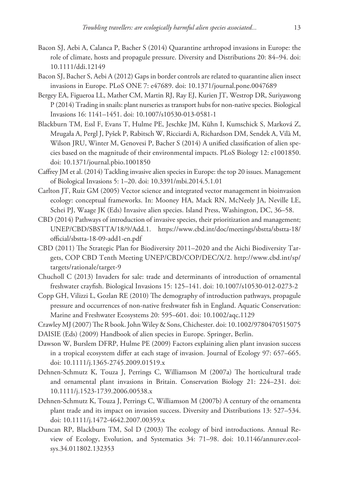- Bacon SJ, Aebi A, Calanca P, Bacher S (2014) Quarantine arthropod invasions in Europe: the role of climate, hosts and propagule pressure. Diversity and Distributions 20: 84–94. [doi:](https://doi.org/10.1111/ddi.12149) [10.1111/ddi.12149](https://doi.org/10.1111/ddi.12149)
- Bacon SJ, Bacher S, Aebi A (2012) Gaps in border controls are related to quarantine alien insect invasions in Europe. PLoS ONE 7: e47689. [doi: 10.1371/journal.pone.0047689](https://doi.org/10.1371/journal.pone.0047689)
- Bergey EA, Figueroa LL, Mather CM, Martin RJ, Ray EJ, Kurien JT, Westrop DR, Suriyawong P (2014) Trading in snails: plant nurseries as transport hubs for non-native species. Biological Invasions 16: 1141–1451. [doi: 10.1007/s10530-013-0581-1](https://doi.org/10.1007/s10530-013-0581-1)
- Blackburn TM, Essl F, Evans T, Hulme PE, Jeschke JM, Kühn I, Kumschick S, Marková Z, Mrugała A, Pergl J, Pyšek P, Rabitsch W, Ricciardi A, Richardson DM, Sendek A, Vilà M, Wilson JRU, Winter M, Genovesi P, Bacher S (2014) A unified classification of alien species based on the magnitude of their environmental impacts. PLoS Biology 12: e1001850. [doi: 10.1371/journal.pbio.1001850](https://doi.org/10.1371/journal.pbio.1001850)
- Caffrey JM et al. (2014) Tackling invasive alien species in Europe: the top 20 issues. Management of Biological Invasions 5: 1–20. [doi: 10.3391/mbi.2014.5.1.01](https://doi.org/10.3391/mbi.2014.5.1.01)
- Carlton JT, Ruiz GM (2005) Vector science and integrated vector management in bioinvasion ecology: conceptual frameworks. In: Mooney HA, Mack RN, McNeely JA, Neville LE, Schei PJ, Waage JK (Eds) Invasive alien species. Island Press, Washington, DC, 36–58.
- CBD (2014) Pathways of introduction of invasive species, their prioritization and management; UNEP/CBD/SBSTTA/18/9/Add.1. [https://www.cbd.int/doc/meetings/sbstta/sbstta-18/](https://www.cbd.int/doc/meetings/sbstta/sbstta-18/official/sbstta-18-09-add1-en.pdf) [official/sbstta-18-09-add1-en.pdf](https://www.cbd.int/doc/meetings/sbstta/sbstta-18/official/sbstta-18-09-add1-en.pdf)
- CBD (2011) The Strategic Plan for Biodiversity 2011–2020 and the Aichi Biodiversity Targets, COP CBD Tenth Meeting UNEP/CBD/COP/DEC/X/2. [http://www.cbd.int/sp/](http://www.cbd.int/sp/targets/rationale/target-9) [targets/rationale/target-9](http://www.cbd.int/sp/targets/rationale/target-9)
- Chucholl C (2013) Invaders for sale: trade and determinants of introduction of ornamental freshwater crayfish. Biological Invasions 15: 125–141. [doi: 10.1007/s10530-012-0273-2](https://doi.org/10.1007/s10530-012-0273-2)
- Copp GH, Vilizzi L, Gozlan RE (2010) The demography of introduction pathways, propagule pressure and occurrences of non-native freshwater fish in England. Aquatic Conservation: Marine and Freshwater Ecosystems 20: 595–601. [doi: 10.1002/aqc.1129](https://doi.org/10.1002/aqc.1129)
- Crawley MJ (2007) The R book. John Wiley & Sons, Chichester. [doi: 10.1002/9780470515075](https://doi.org/10.1002/9780470515075)
- DAISIE (Eds) (2009) Handbook of alien species in Europe. Springer, Berlin.
- Dawson W, Burslem DFRP, Hulme PE (2009) Factors explaining alien plant invasion success in a tropical ecosystem differ at each stage of invasion. Journal of Ecology 97: 657–665. [doi: 10.1111/j.1365-2745.2009.01519.x](https://doi.org/10.1111/j.1365-2745.2009.01519.x)
- Dehnen-Schmutz K, Touza J, Perrings C, Williamson M (2007a) The horticultural trade and ornamental plant invasions in Britain. Conservation Biology 21: 224–231. [doi:](https://doi.org/10.1111/j.1523-1739.2006.00538.x) [10.1111/j.1523-1739.2006.00538.x](https://doi.org/10.1111/j.1523-1739.2006.00538.x)
- Dehnen-Schmutz K, Touza J, Perrings C, Williamson M (2007b) A century of the ornamenta plant trade and its impact on invasion success. Diversity and Distributions 13: 527–534. [doi: 10.1111/j.1472-4642.2007.00359.x](https://doi.org/10.1111/j.1472-4642.2007.00359.x)
- Duncan RP, Blackburn TM, Sol D (2003) The ecology of bird introductions. Annual Review of Ecology, Evolution, and Systematics 34: 71–98. [doi: 10.1146/annurev.ecol](https://doi.org/10.1146/annurev.ecolsys.34.011802.132353)[sys.34.011802.132353](https://doi.org/10.1146/annurev.ecolsys.34.011802.132353)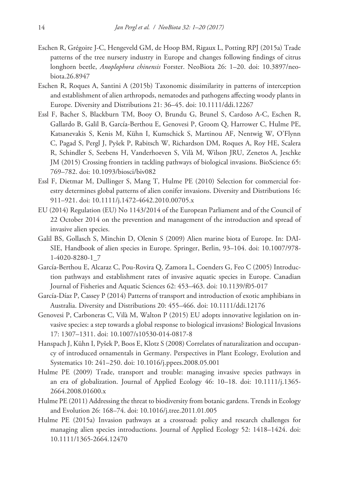- Eschen R, Grégoire J-C, Hengeveld GM, de Hoop BM, Rigaux L, Potting RPJ (2015a) Trade patterns of the tree nursery industry in Europe and changes following findings of citrus longhorn beetle, *Anoplophora chinensis* Forster. NeoBiota 26: 1–20. [doi: 10.3897/neo](https://doi.org/10.3897/neobiota.26.8947)[biota.26.8947](https://doi.org/10.3897/neobiota.26.8947)
- Eschen R, Roques A, Santini A (2015b) Taxonomic dissimilarity in patterns of interception and establishment of alien arthropods, nematodes and pathogens affecting woody plants in Europe. Diversity and Distributions 21: 36–45. [doi: 10.1111/ddi.12267](https://doi.org/10.1111/ddi.12267)
- Essl F, Bacher S, Blackburn TM, Booy O, Brundu G, Brunel S, Cardoso A-C, Eschen R, Gallardo B, Galil B, García-Berthou E, Genovesi P, Groom Q, Harrower C, Hulme PE, Katsanevakis S, Kenis M, Kühn I, Kumschick S, Martinou AF, Nentwig W, O'Flynn C, Pagad S, Pergl J, Pyšek P, Rabitsch W, Richardson DM, Roques A, Roy HE, Scalera R, Schindler S, Seebens H, Vanderhoeven S, Vilà M, Wilson JRU, Zenetos A, Jeschke JM (2015) Crossing frontiers in tackling pathways of biological invasions. BioScience 65: 769–782. [doi: 10.1093/biosci/biv082](https://doi.org/10.1093/biosci/biv082)
- Essl F, Dietmar M, Dullinger S, Mang T, Hulme PE (2010) Selection for commercial forestry determines global patterns of alien conifer invasions. Diversity and Distributions 16: 911–921. [doi: 10.1111/j.1472-4642.2010.00705.x](https://doi.org/10.1111/j.1472-4642.2010.00705.x)
- EU (2014) Regulation (EU) No 1143/2014 of the European Parliament and of the Council of 22 October 2014 on the prevention and management of the introduction and spread of invasive alien species.
- Galil BS, Gollasch S, Minchin D, Olenin S (2009) Alien marine biota of Europe. In: DAI-SIE, Handbook of alien species in Europe. Springer, Berlin, 93–104. [doi: 10.1007/978-](https://doi.org/10.1007/978-1-4020-8280-1_7) [1-4020-8280-1\\_7](https://doi.org/10.1007/978-1-4020-8280-1_7)
- García-Berthou E, Alcaraz C, Pou-Rovira Q, Zamora L, Coenders G, Feo C (2005) Introduction pathways and establishment rates of invasive aquatic species in Europe. Canadian Journal of Fisheries and Aquatic Sciences 62: 453–463. [doi: 10.1139/f05-017](https://doi.org/10.1139/f05-017)
- García‐Díaz P, Cassey P (2014) Patterns of transport and introduction of exotic amphibians in Australia. Diversity and Distributions 20: 455–466. [doi: 10.1111/ddi.12176](https://doi.org/10.1111/ddi.12176)
- Genovesi P, Carboneras C, Vilà M, Walton P (2015) EU adopts innovative legislation on invasive species: a step towards a global response to biological invasions? Biological Invasions 17: 1307–1311. [doi: 10.1007/s10530-014-0817-8](https://doi.org/10.1007/s10530-014-0817-8)
- Hanspach J, Kühn I, Pyšek P, Boos E, Klotz S (2008) Correlates of naturalization and occupancy of introduced ornamentals in Germany. Perspectives in Plant Ecology, Evolution and Systematics 10: 241–250. [doi: 10.1016/j.ppees.2008.05.001](https://doi.org/10.1016/j.ppees.2008.05.001)
- Hulme PE (2009) Trade, transport and trouble: managing invasive species pathways in an era of globalization. Journal of Applied Ecology 46: 10–18. [doi: 10.1111/j.1365-](https://doi.org/10.1111/j.1365-2664.2008.01600.x) [2664.2008.01600.x](https://doi.org/10.1111/j.1365-2664.2008.01600.x)
- Hulme PE (2011) Addressing the threat to biodiversity from botanic gardens. Trends in Ecology and Evolution 26: 168–74. [doi: 10.1016/j.tree.2011.01.005](https://doi.org/10.1016/j.tree.2011.01.005)
- Hulme PE (2015a) Invasion pathways at a crossroad: policy and research challenges for managing alien species introductions. Journal of Applied Ecology 52: 1418–1424. [doi:](https://doi.org/10.1111/1365-2664.12470) [10.1111/1365-2664.12470](https://doi.org/10.1111/1365-2664.12470)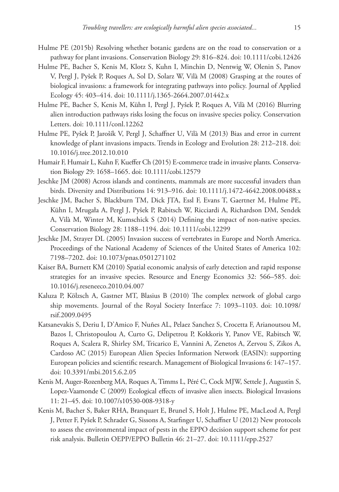- Hulme PE (2015b) Resolving whether botanic gardens are on the road to conservation or a pathway for plant invasions. Conservation Biology 29: 816–824. [doi: 10.1111/cobi.12426](https://doi.org/10.1111/cobi.12426)
- Hulme PE, Bacher S, Kenis M, Klotz S, Kuhn I, Minchin D, Nentwig W, Olenin S, Panov V, Pergl J, Pyšek P, Roques A, Sol D, Solarz W, Vilà M (2008) Grasping at the routes of biological invasions: a framework for integrating pathways into policy. Journal of Applied Ecology 45: 403–414. [doi: 10.1111/j.1365-2664.2007.01442.x](https://doi.org/10.1111/j.1365-2664.2007.01442.x)
- Hulme PE, Bacher S, Kenis M, Kühn I, Pergl J, Pyšek P, Roques A, Vilà M (2016) Blurring alien introduction pathways risks losing the focus on invasive species policy. Conservation Letters. [doi: 10.1111/conl.12262](https://doi.org/10.1111/conl.12262)
- Hulme PE, Pyšek P, Jarošík V, Pergl J, Schaffner U, Vilà M (2013) Bias and error in current knowledge of plant invasions impacts. Trends in Ecology and Evolution 28: 212–218. [doi:](https://doi.org/10.1016/j.tree.2012.10.010) [10.1016/j.tree.2012.10.010](https://doi.org/10.1016/j.tree.2012.10.010)
- Humair F, Humair L, Kuhn F, Kueffer Ch (2015) E-commerce trade in invasive plants. Conservation Biology 29: 1658–1665. [doi: 10.1111/cobi.12579](https://doi.org/10.1111/cobi.12579)
- Jeschke JM (2008) Across islands and continents, mammals are more successful invaders than birds. Diversity and Distributions 14: 913–916. [doi: 10.1111/j.1472-4642.2008.00488.x](https://doi.org/10.1111/j.1472-4642.2008.00488.x)
- Jeschke JM, Bacher S, Blackburn TM, Dick JTA, Essl F, Evans T, Gaertner M, Hulme PE, Kühn I, Mrugała A, Pergl J, Pyšek P, Rabitsch W, Ricciardi A, Richardson DM, Sendek A, Vilà M, Winter M, Kumschick S (2014) Defining the impact of non-native species. Conservation Biology 28: 1188–1194. [doi: 10.1111/cobi.12299](https://doi.org/10.1111/cobi.12299)
- Jeschke JM, Strayer DL (2005) Invasion success of vertebrates in Europe and North America. Proceedings of the National Academy of Sciences of the United States of America 102: 7198–7202. [doi: 10.1073/pnas.0501271102](https://doi.org/10.1073/pnas.0501271102)
- Kaiser BA, Burnett KM (2010) Spatial economic analysis of early detection and rapid response strategies for an invasive species. Resource and Energy Economics 32: 566–585. [doi:](https://doi.org/10.1016/j.reseneeco.2010.04.007) [10.1016/j.reseneeco.2010.04.007](https://doi.org/10.1016/j.reseneeco.2010.04.007)
- Kaluza P, Kölzsch A, Gastner MT, Blasius B (2010) The complex network of global cargo ship movements. Journal of the Royal Society Interface 7: 1093–1103. [doi: 10.1098/](https://doi.org/10.1098/rsif.2009.0495) [rsif.2009.0495](https://doi.org/10.1098/rsif.2009.0495)
- Katsanevakis S, Deriu I, D'Amico F, Nuñes AL, Pelaez Sanchez S, Crocetta F, Arianoutsou M, Bazos I, Christopoulou A, Curto G, Delipetrou P, Kokkoris Y, Panov VE, Rabitsch W, Roques A, Scalera R, Shirley SM, Tricarico E, Vannini A, Zenetos A, Zervou S, Zikos A, Cardoso AC (2015) European Alien Species Information Network (EASIN): supporting European policies and scientific research. Management of Biological Invasions 6: 147–157. [doi: 10.3391/mbi.2015.6.2.05](https://doi.org/10.3391/mbi.2015.6.2.05)
- Kenis M, Auger-Rozenberg MA, Roques A, Timms L, Péré C, Cock MJW, Settele J, Augustin S, Lopez-Vaamonde C (2009) Ecological effects of invasive alien insects. Biological Invasions 11: 21–45. [doi: 10.1007/s10530-008-9318-y](https://doi.org/10.1007/s10530-008-9318-y)
- Kenis M, Bacher S, Baker RHA, Branquart E, Brunel S, Holt J, Hulme PE, MacLeod A, Pergl J, Petter F, Pyšek P, Schrader G, Sissons A, Starfinger U, Schaffner U (2012) New protocols to assess the environmental impact of pests in the EPPO decision support scheme for pest risk analysis. Bulletin OEPP/EPPO Bulletin 46: 21–27. [doi: 10.1111/epp.2527](https://doi.org/10.1111/epp.2527)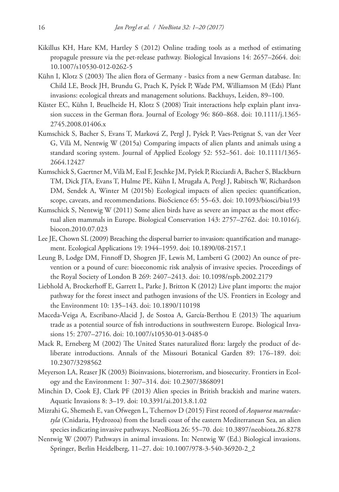- Kikillus KH, Hare KM, Hartley S (2012) Online trading tools as a method of estimating propagule pressure via the pet-release pathway. Biological Invasions 14: 2657–2664. [doi:](https://doi.org/10.1007/s10530-012-0262-5) [10.1007/s10530-012-0262-5](https://doi.org/10.1007/s10530-012-0262-5)
- Kühn I, Klotz S (2003) The alien flora of Germany basics from a new German database. In: Child LE, Brock JH, Brundu G, Prach K, Pyšek P, Wade PM, Williamson M (Eds) Plant invasions: ecological threats and management solutions. Backhuys, Leiden, 89–100.
- Küster EC, Kühn I, Bruelheide H, Klotz S (2008) Trait interactions help explain plant invasion success in the German flora. Journal of Ecology 96: 860–868. [doi: 10.1111/j.1365-](https://doi.org/10.1111/j.1365-2745.2008.01406.x) [2745.2008.01406.x](https://doi.org/10.1111/j.1365-2745.2008.01406.x)
- Kumschick S, Bacher S, Evans T, Marková Z, Pergl J, Pyšek P, Vaes-Petignat S, van der Veer G, Vilà M, Nentwig W (2015a) Comparing impacts of alien plants and animals using a standard scoring system. Journal of Applied Ecology 52: 552–561. [doi: 10.1111/1365-](https://doi.org/10.1111/1365-2664.12427) [2664.12427](https://doi.org/10.1111/1365-2664.12427)
- Kumschick S, Gaertner M, Vilà M, Essl F, Jeschke JM, Pyšek P, Ricciardi A, Bacher S, Blackburn TM, Dick JTA, Evans T, Hulme PE, Kühn I, Mrugała A, Pergl J, Rabitsch W, Richardson DM, Sendek A, Winter M (2015b) Ecological impacts of alien species: quantification, scope, caveats, and recommendations. BioScience 65: 55–63. [doi: 10.1093/biosci/biu193](https://doi.org/10.1093/biosci/biu193)
- Kumschick S, Nentwig W (2011) Some alien birds have as severe an impact as the most effectual alien mammals in Europe. Biological Conservation 143: 2757–2762. [doi: 10.1016/j.](https://doi.org/10.1016/j.biocon.2010.07.023) [biocon.2010.07.023](https://doi.org/10.1016/j.biocon.2010.07.023)
- Lee JE, Chown SL (2009) Breaching the dispersal barrier to invasion: quantification and management. Ecological Applications 19: 1944–1959. [doi: 10.1890/08-2157.1](https://doi.org/10.1890/08-2157.1)
- Leung B, Lodge DM, Finnoff D, Shogren JF, Lewis M, Lamberti G (2002) An ounce of prevention or a pound of cure: bioeconomic risk analysis of invasive species. Proceedings of the Royal Society of London B 269: 2407–2413. [doi: 10.1098/rspb.2002.2179](https://doi.org/10.1098/rspb.2002.2179)
- Liebhold A, Brockerhoff E, Garrett L, Parke J, Britton K (2012) Live plant imports: the major pathway for the forest insect and pathogen invasions of the US. Frontiers in Ecology and the Environment 10: 135–143. [doi: 10.1890/110198](https://doi.org/10.1890/110198)
- Maceda-Veiga A, Escribano-Alacid J, de Sostoa A, García-Berthou E (2013) The aquarium trade as a potential source of fish introductions in southwestern Europe. Biological Invasions 15: 2707–2716. [doi: 10.1007/s10530-013-0485-0](https://doi.org/10.1007/s10530-013-0485-0)
- Mack R, Erneberg M (2002) The United States naturalized flora: largely the product of deliberate introductions. Annals of the Missouri Botanical Garden 89: 176–189. [doi:](https://doi.org/10.2307/3298562) [10.2307/3298562](https://doi.org/10.2307/3298562)
- Meyerson LA, Reaser JK (2003) Bioinvasions, bioterrorism, and biosecurity. Frontiers in Ecology and the Environment 1: 307–314. [doi: 10.2307/3868091](https://doi.org/10.2307/3868091)
- Minchin D, Cook EJ, Clark PF (2013) Alien species in British brackish and marine waters. Aquatic Invasions 8: 3–19. [doi: 10.3391/ai.2013.8.1.02](https://doi.org/10.3391/ai.2013.8.1.02)
- Mizrahi G, Shemesh E, van Ofwegen L, Tchernov D (2015) First record of *Aequorea macrodactyla* (Cnidaria, Hydrozoa) from the Israeli coast of the eastern Mediterranean Sea, an alien species indicating invasive pathways. NeoBiota 26: 55–70. [doi: 10.3897/neobiota.26.8278](https://doi.org/10.3897/neobiota.26.8278)
- Nentwig W (2007) Pathways in animal invasions. In: Nentwig W (Ed.) Biological invasions. Springer, Berlin Heidelberg, 11–27. [doi: 10.1007/978-3-540-36920-2\\_2](https://doi.org/10.1007/978-3-540-36920-2_2)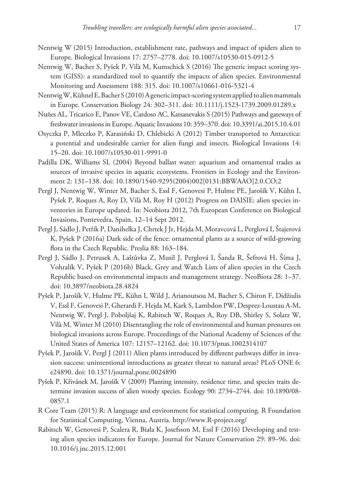- Nentwig W (2015) Introduction, establishment rate, pathways and impact of spiders alien to Europe. Biological Invasions 17: 2757–2778. [doi: 10.1007/s10530-015-0912-5](https://doi.org/10.1007/s10530-015-0912-5)
- Nentwig W, Bacher S, Pyšek P, Vilà M, Kumschick S (2016) The generic impact scoring system (GISS): a standardized tool to quantify the impacts of alien species. Environmental Monitoring and Assessment 188: 315. [doi: 10.1007/s10661-016-5321-4](https://doi.org/10.1007/s10661-016-5321-4)
- Nentwig W, Kühnel E, Bacher S (2010) A generic impact-scoring system applied to alien mammals in Europe. Conservation Biology 24: 302–311. [doi: 10.1111/j.1523-1739.2009.01289.x](https://doi.org/10.1111/j.1523-1739.2009.01289.x)
- Nuñes AL, Tricarico E, Panov VE, Cardoso AC, Katsanevakis S (2015) Pathways and gateways of freshwater invasions in Europe. Aquatic Invasions 10: 359–370. [doi: 10.3391/ai.2015.10.4.01](https://doi.org/10.3391/ai.2015.10.4.01)
- Osyczka P, Mleczko P, Karasiński D, Chlebicki A (2012) Timber transported to Antarctica: a potential and undesirable carrier for alien fungi and insects. Biological Invasions 14: 15–20. [doi: 10.1007/s10530-011-9991-0](https://doi.org/10.1007/s10530-011-9991-0)
- Padilla DK, Williams SL (2004) Beyond ballast water: aquarium and ornamental trades as sources of invasive species in aquatic ecosystems. Frontiers in Ecology and the Environment 2: 131–138. [doi: 10.1890/1540-9295\(2004\)002\[0131:BBWAAO\]2.0.CO;2](https://doi.org/10.1890/1540-9295(2004)002%5B0131:BBWAAO%5D2.0.CO;2)
- Pergl J, Nentwig W, Winter M, Bacher S, Essl F, Genovesi P, Hulme PE, Jarošík V, Kühn I, Pyšek P, Roques A, Roy D, Vilà M, Roy H (2012) Progress on DAISIE: alien species inventories in Europe updated. In: Neobiota 2012, 7th European Conference on Biological Invasions, Pontevedra, Spain, 12–14 Sept 2012.
- Pergl J, Sádlo J, Petřík P, Danihelka J, Chrtek J Jr, Hejda M, Moravcová L, Perglová I, Štajerová K, Pyšek P (2016a) Dark side of the fence: ornamental plants as a source of wild-growing flora in the Czech Republic. Preslia 88: 163–184.
- Pergl J, Sádlo J, Petrusek A, Laštůvka Z, Musil J, Perglová I, Šanda R, Šefrová H, Šíma J, Vohralík V, Pyšek P (2016b) Black, Grey and Watch Lists of alien species in the Czech Republic based on environmental impacts and management strategy. NeoBiota 28: 1–37. [doi: 10.3897/neobiota.28.4824](https://doi.org/10.3897/neobiota.28.4824)
- Pyšek P, Jarošík V, Hulme PE, Kühn I, Wild J, Arianoutsou M, Bacher S, Chiron F, Didžiulis V, Essl F, Genovesi P, Gherardi F, Hejda M, Kark S, Lambdon PW, Desprez-Loustau A-M, Nentwig W, Pergl J, Poboljšaj K, Rabitsch W, Roques A, Roy DB, Shirley S, Solarz W, Vilà M, Winter M (2010) Disentangling the role of environmental and human pressures on biological invasions across Europe. Proceedings of the National Academy of Sciences of the United States of America 107: 12157–12162. [doi: 10.1073/pnas.1002314107](https://doi.org/10.1073/pnas.1002314107)
- Pyšek P, Jarošík V, Pergl J (2011) Alien plants introduced by different pathways differ in invasion success: unintentional introductions as greater threat to natural areas? PLoS ONE 6: e24890. [doi: 10.1371/journal.pone.0024890](https://doi.org/10.1371/journal.pone.0024890)
- Pyšek P, Křivánek M, Jarošík V (2009) Planting intensity, residence time, and species traits determine invasion success of alien woody species. Ecology 90: 2734–2744. [doi: 10.1890/08-](https://doi.org/10.1890/08-0857.1) [0857.1](https://doi.org/10.1890/08-0857.1)
- R Core Team (2015) R: A language and environment for statistical computing. R Foundation for Statistical Computing, Vienna, Austria.<http://www.R-project.org/>
- Rabitsch W, Genovesi P, Scalera R, Biała K, Josefsson M, Essl F (2016) Developing and testing alien species indicators for Europe. Journal for Nature Conservation 29: 89–96. [doi:](https://doi.org/10.1016/j.jnc.2015.12.001) [10.1016/j.jnc.2015.12.001](https://doi.org/10.1016/j.jnc.2015.12.001)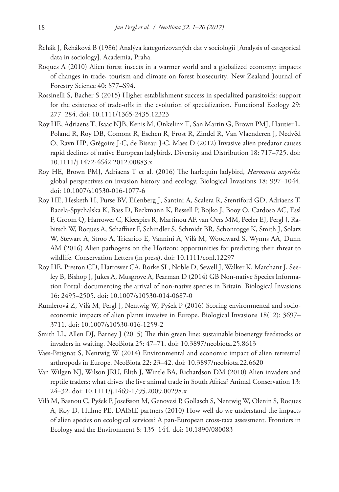- Řehák J, Řeháková B (1986) Analýza kategorizovaných dat v sociologii [Analysis of categorical data in sociology]. Academia, Praha.
- Roques A (2010) Alien forest insects in a warmer world and a globalized economy: impacts of changes in trade, tourism and climate on forest biosecurity. New Zealand Journal of Forestry Science 40: S77–S94.
- Rossinelli S, Bacher S (2015) Higher establishment success in specialized parasitoids: support for the existence of trade-offs in the evolution of specialization. Functional Ecology 29: 277–284. [doi: 10.1111/1365-2435.12323](https://doi.org/10.1111/1365-2435.12323)
- Roy HE, Adriaens T, Isaac NJB, Kenis M, Onkelinx T, San Martin G, Brown PMJ, Hautier L, Poland R, Roy DB, Comont R, Eschen R, Frost R, Zindel R, Van Vlaenderen J, Nedvěd O, Ravn HP, Grégoire J-C, de Biseau J-C, Maes D (2012) Invasive alien predator causes rapid declines of native European ladybirds. Diversity and Distribution 18: 717–725. [doi:](https://doi.org/10.1111/j.1472-4642.2012.00883.x) [10.1111/j.1472-4642.2012.00883.x](https://doi.org/10.1111/j.1472-4642.2012.00883.x)
- Roy HE, Brown PMJ, Adriaens T et al. (2016) The harlequin ladybird, *Harmonia axyridis*: global perspectives on invasion history and ecology. Biological Invasions 18: 997–1044. [doi: 10.1007/s10530-016-1077-6](https://doi.org/10.1007/s10530-016-1077-6)
- Roy HE, Hesketh H, Purse BV, Eilenberg J, Santini A, Scalera R, Stentiford GD, Adriaens T, Bacela-Spychalska K, Bass D, Beckmann K, Bessell P, Bojko J, Booy O, Cardoso AC, Essl F, Groom Q, Harrower C, Kleespies R, Martinou AF, van Oers MM, Peeler EJ, Pergl J, Rabitsch W, Roques A, Schaffner F, Schindler S, Schmidt BR, Schonrogge K, Smith J, Solarz W, Stewart A, Stroo A, Tricarico E, Vannini A, Vilà M, Woodward S, Wynns AA, Dunn AM (2016) Alien pathogens on the Horizon: opportunities for predicting their threat to wildlife. Conservation Letters (in press). [doi: 10.1111/conl.12297](https://doi.org/10.1111/conl.12297)
- Roy HE, Preston CD, Harrower CA, Rorke SL, Noble D, Sewell J, Walker K, Marchant J, Seeley B, Bishop J, Jukes A, Musgrove A, Pearman D (2014) GB Non-native Species Information Portal: documenting the arrival of non-native species in Britain. Biological Invasions 16: 2495–2505. [doi: 10.1007/s10530-014-0687-0](https://doi.org/10.1007/s10530-014-0687-0)
- Rumlerová Z, Vilà M, Pergl J, Nentwig W, Pyšek P (2016) Scoring environmental and socioeconomic impacts of alien plants invasive in Europe. Biological Invasions 18(12): 3697– 3711. [doi: 10.1007/s10530-016-1259-2](https://doi.org/10.1007/s10530-016-1259-2)
- Smith LL, Allen DJ, Barney J (2015) The thin green line: sustainable bioenergy feedstocks or invaders in waiting. NeoBiota 25: 47–71. [doi: 10.3897/neobiota.25.8613](https://doi.org/10.3897/neobiota.25.8613)
- Vaes-Petignat S, Nentwig W (2014) Environmental and economic impact of alien terrestrial arthropods in Europe. NeoBiota 22: 23–42. [doi: 10.3897/neobiota.22.6620](https://doi.org/10.3897/neobiota.22.6620)
- Van Wilgen NJ, Wilson JRU, Elith J, Wintle BA, Richardson DM (2010) Alien invaders and reptile traders: what drives the live animal trade in South Africa? Animal Conservation 13: 24–32. [doi: 10.1111/j.1469-1795.2009.00298.x](https://doi.org/10.1111/j.1469-1795.2009.00298.x)
- Vilà M, Basnou C, Pyšek P, Josefsson M, Genovesi P, Gollasch S, Nentwig W, Olenin S, Roques A, Roy D, Hulme PE, DAISIE partners (2010) How well do we understand the impacts of alien species on ecological services? A pan-European cross-taxa assessment. Frontiers in Ecology and the Environment 8: 135–144. [doi: 10.1890/080083](https://doi.org/10.1890/080083)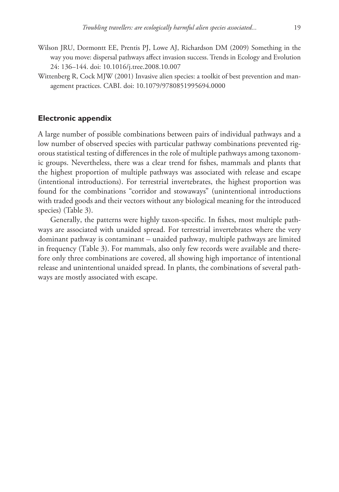- Wilson JRU, Dormontt EE, Prentis PJ, Lowe AJ, Richardson DM (2009) Something in the way you move: dispersal pathways affect invasion success. Trends in Ecology and Evolution 24: 136–144. [doi: 10.1016/j.tree.2008.10.007](https://doi.org/10.1016/j.tree.2008.10.007)
- Wittenberg R, Cock MJW (2001) Invasive alien species: a toolkit of best prevention and management practices. CABI. [doi: 10.1079/9780851995694.0000](https://doi.org/10.1079/9780851995694.0000)

## **Electronic appendix**

A large number of possible combinations between pairs of individual pathways and a low number of observed species with particular pathway combinations prevented rigorous statistical testing of differences in the role of multiple pathways among taxonomic groups. Nevertheless, there was a clear trend for fishes, mammals and plants that the highest proportion of multiple pathways was associated with release and escape (intentional introductions). For terrestrial invertebrates, the highest proportion was found for the combinations "corridor and stowaways" (unintentional introductions with traded goods and their vectors without any biological meaning for the introduced species) (Table 3).

Generally, the patterns were highly taxon-specific. In fishes, most multiple pathways are associated with unaided spread. For terrestrial invertebrates where the very dominant pathway is contaminant – unaided pathway, multiple pathways are limited in frequency (Table 3). For mammals, also only few records were available and therefore only three combinations are covered, all showing high importance of intentional release and unintentional unaided spread. In plants, the combinations of several pathways are mostly associated with escape.